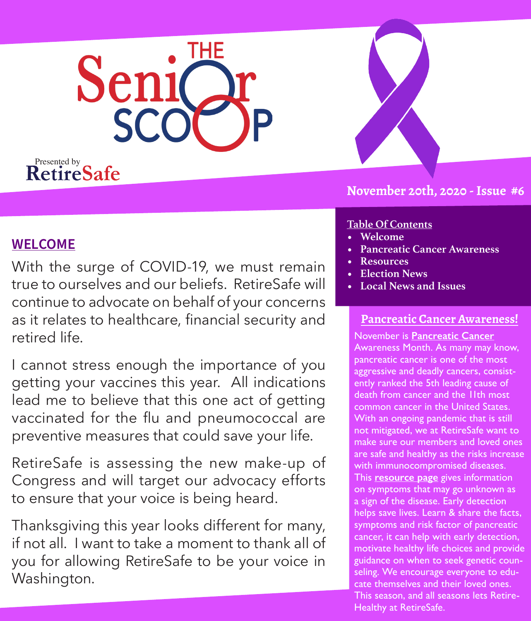

## **November 20th, 2020 - Issue #6**

## **WELCOME**

With the surge of COVID-19, we must remain true to ourselves and our beliefs. RetireSafe will continue to advocate on behalf of your concerns as it relates to healthcare, financial security and retired life.

I cannot stress enough the importance of you getting your vaccines this year. All indications lead me to believe that this one act of getting vaccinated for the flu and pneumococcal are preventive measures that could save your life.

RetireSafe is assessing the new make-up of Congress and will target our advocacy efforts to ensure that your voice is being heard.

Thanksgiving this year looks different for many, if not all. I want to take a moment to thank all of you for allowing RetireSafe to be your voice in Washington.

### **Table Of Contents**

- **• Welcome**
- **• Pancreatic Cancer Awareness**
- **• Resources**
- **• Election News**
- **• Local News and Issues**

## **Pancreatic Cancer Awareness!**

November is **[Pancreatic Cancer](https://www.pancan.org/)** Awareness Month. As many may know, pancreatic cancer is one of the most aggressive and deadly cancers, consistently ranked the 5th leading cause of death from cancer and the 11th most common cancer in the United States. With an ongoing pandemic that is still not mitigated, we at RetireSafe want to make sure our members and loved ones are safe and healthy as the risks increase with immunocompromised diseases. This **[resource page](https://www.cancer.org/cancer/pancreatic-cancer/detection-diagnosis-staging/signs-and-symptoms.html)** gives information on symptoms that may go unknown as a sign of the disease. Early detection helps save lives. Learn & share the facts, symptoms and risk factor of pancreatic cancer, it can help with early detection, motivate healthy life choices and provide guidance on when to seek genetic counseling. We encourage everyone to educate themselves and their loved ones. This season, and all seasons lets Retire-Healthy at RetireSafe.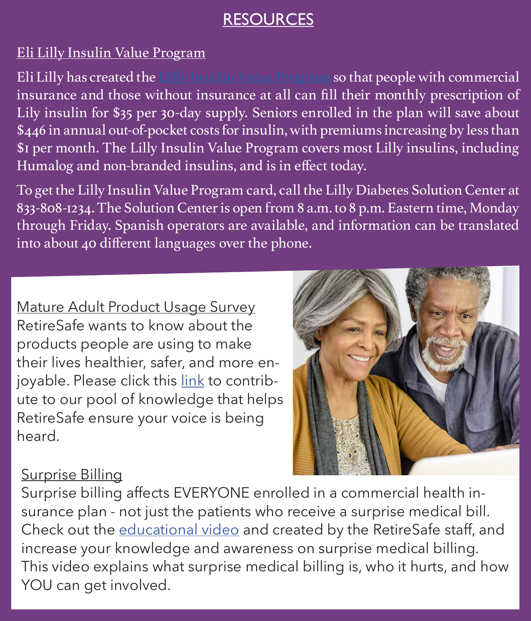## **RESOURCES**

## Eli Lilly Insulin Value Program

Eli Lilly has created the **[Lilly Insulin Value Program](https://www.lilly.com/news/stories/lilly-insulin-value-program-savings-card-available-online)** so that people with commercial insurance and those without insurance at all can fill their monthly prescription of Lily insulin for \$35 per 30-day supply. Seniors enrolled in the plan will save about \$446 in annual out-of-pocket costs for insulin, with premiums increasing by less than \$1 per month. The Lilly Insulin Value Program covers most Lilly insulins, including Humalog and non-branded insulins, and is in effect today.

To get the Lilly Insulin Value Program card, call the Lilly Diabetes Solution Center at 833-808-1234. The Solution Center is open from 8 a.m. to 8 p.m. Eastern time, Monday through Friday. Spanish operators are available, and information can be translated into about 40 different languages over the phone.

Mature Adult Product Usage Survey RetireSafe wants to know about the products people are using to make their lives healthier, safer, and more enjoyable. Please click this [link](https://www.surveymonkey.com/r/BQ8R375) to contribute to our pool of knowledge that helps RetireSafe ensure your voice is being heard.



## Surprise Billing

Surprise billing affects EVERYONE enrolled in a commercial health insurance plan - not just the patients who receive a surprise medical bill. Check out the [educational video](https://youtu.be/yu2E1jY1ZGQ) and created by the RetireSafe staff, and increase your knowledge and awareness on surprise medical billing. This video explains what surprise medical billing is, who it hurts, and how YOU can get involved.